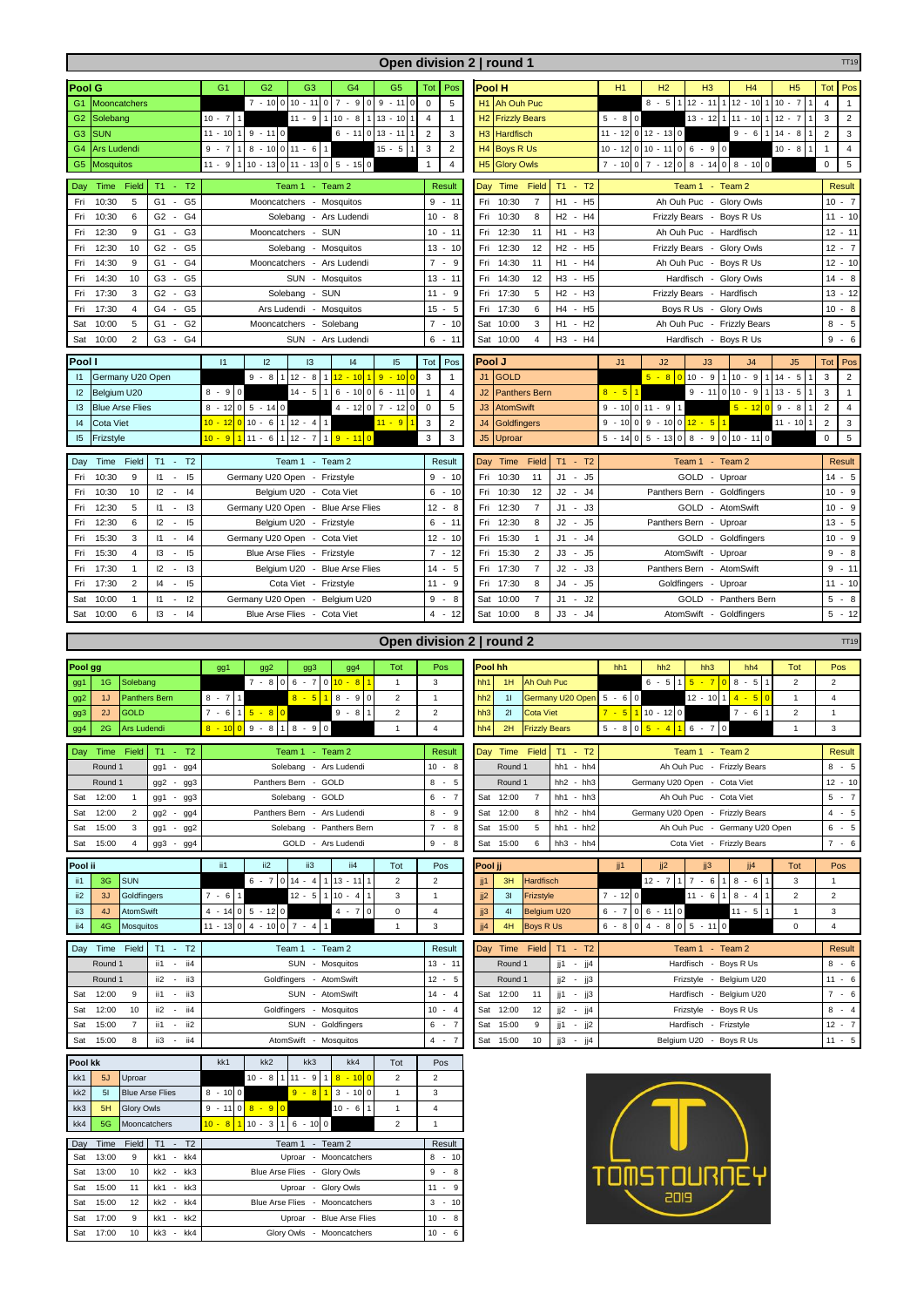|                                             |                            |                                                  |                                                                                          |                                | Open division 2   round 1                                                         |                                                                                   | TT <sub>19</sub>                 |
|---------------------------------------------|----------------------------|--------------------------------------------------|------------------------------------------------------------------------------------------|--------------------------------|-----------------------------------------------------------------------------------|-----------------------------------------------------------------------------------|----------------------------------|
| Pool G                                      |                            |                                                  | G <sub>1</sub><br>G <sub>2</sub><br>G <sub>3</sub><br>G <sub>4</sub><br>G <sub>5</sub>   | Tot<br>Pos                     | <b>Pool H</b>                                                                     | H1<br>H <sub>2</sub><br>H <sub>3</sub><br>H4<br>H <sub>5</sub>                    | Pos<br>Tot                       |
| G1                                          | <b>Mooncatchers</b>        |                                                  | $7 - 1000$<br>$10 - 11$<br>$\overline{7}$<br>9<br>$-11$ 0<br>0<br>$-9$<br>0              | $\mathbf 0$<br>5               | <b>Ah Ouh Puc</b><br>H1                                                           | $8 - 5$<br>$12 - 11$<br>$12 - 10$<br>$10 - 7$                                     | $\overline{4}$<br>$\mathbf{1}$   |
| G <sub>2</sub>                              | Solebang                   |                                                  | $110 - 8$<br>$13 - 10$ 1<br>$10 - 7$<br>$11 - 9$<br>$\overline{1}$<br>$\overline{1}$     | $\overline{4}$<br>$\mathbf{1}$ | H <sub>2</sub><br><b>Frizzly Bears</b>                                            | $5 - 80$<br>$13 - 12$ 1<br>$-10$ 1 12 - 7<br>11                                   | $\mathbf 3$<br>$\overline{2}$    |
|                                             |                            |                                                  | $11 - 10$<br>$0$ 13 - 11 1<br>$9 - 110$                                                  |                                |                                                                                   | $11 - 12$ 0 12 - 13 0<br>$9 - 6$<br>$14 -$<br>8                                   |                                  |
| G <sub>3</sub>                              | <b>SUN</b>                 |                                                  | $6 - 11$                                                                                 | $\overline{2}$<br>3            | H <sub>3</sub><br><b>Hardfisch</b>                                                |                                                                                   | $\overline{c}$<br>$\mathbf 3$    |
| G4                                          | <b>Ars Ludendi</b>         |                                                  | $8 - 10011 - 6$<br>$15 - 5$<br>$9 - 7$<br>1                                              | $\mathsf 3$<br>$\overline{2}$  | <b>Boys R Us</b><br>H4                                                            | $10 - 12010 - 1106 - 90$<br>$10 - 8$                                              | $\overline{4}$<br>$\mathbf{1}$   |
| G <sub>5</sub>                              | <b>Mosquitos</b>           |                                                  | $10 - 13$ 0 11 - 13<br>$0 \ 5 - 15 \ 0$<br>$11 - 9$                                      | $\mathbf{1}$<br>$\overline{4}$ | H <sub>5</sub><br><b>Glory Owls</b>                                               | $7 - 10007 - 1208 - 1408 - 100$                                                   | $\sqrt{5}$<br>$\mathbf 0$        |
| Day                                         | Time<br>Field              | $T1 - T2$                                        | Team 1 - Team 2                                                                          | Result                         | $T1 - T2$<br>Time<br>Field<br>Day                                                 | - Team $2$<br>Team 1                                                              | Result                           |
| Fri                                         | 10:30<br>5                 | G <sub>5</sub><br>G1<br>$\sim$                   | Mooncatchers - Mosquitos                                                                 | $9 - 11$                       | Fri<br>10:30<br>$\overline{7}$<br>H1<br>H <sub>5</sub><br>$\sim$                  | Ah Ouh Puc -<br><b>Glory Owls</b>                                                 | $10 - 7$                         |
| Fri                                         | 10:30<br>6                 | G <sub>2</sub><br>G <sub>4</sub><br>$\sim$       | Solebang - Ars Ludendi                                                                   | $10 - 8$                       | 10:30<br>8<br>H <sub>2</sub><br>- H4<br>Fri                                       | Frizzly Bears - Boys R Us                                                         | $11 - 10$                        |
|                                             |                            |                                                  |                                                                                          |                                |                                                                                   |                                                                                   |                                  |
| Fri                                         | 12:30<br>9                 | G <sub>3</sub><br>G1<br>$\sim$                   | Mooncatchers - SUN                                                                       | $10 - 11$                      | 12:30<br>H <sub>1</sub><br>- H3<br>Fri<br>11                                      | Ah Ouh Puc - Hardfisch                                                            | $12 - 11$                        |
| Fri                                         | 12:30<br>10                | G <sub>2</sub><br>G <sub>5</sub><br>×.           | - Mosquitos<br>Solebang                                                                  | $13 - 10$                      | H <sub>2</sub><br>H <sub>5</sub><br>Fri<br>12:30<br>12                            | - Glory Owls<br><b>Frizzly Bears</b>                                              | $12 - 7$                         |
| Fri                                         | 14:30<br>9                 | G <sub>4</sub><br>G1<br>$\sim$                   | Mooncatchers - Ars Ludendi                                                               | $\overline{7}$<br>- 9          | 11<br>- H4<br>Fri<br>14:30<br>H1                                                  | Ah Ouh Puc - Boys R Us                                                            | $12 - 10$                        |
| Fri                                         | 14:30<br>10                | G <sub>5</sub><br>G3                             | SUN - Mosquitos                                                                          | $13 - 11$                      | 14:30<br>12<br>H <sub>3</sub><br>- H <sub>5</sub><br>Fri                          | Hardfisch - Glory Owls                                                            | $14 - 8$                         |
| Fri                                         | 17:30<br>3                 | G <sub>2</sub><br>G <sub>3</sub><br>$\sim$       | - SUN<br>Solebang                                                                        | $11 - 9$                       | Fri<br>17:30<br>5<br>H <sub>2</sub><br>H <sub>3</sub><br>$\overline{\phantom{a}}$ | <b>Frizzly Bears</b><br>- Hardfisch                                               | $13 - 12$                        |
| Fri                                         | 17:30<br>$\overline{4}$    | G <sub>5</sub><br>G4<br>$\overline{\phantom{a}}$ | - Mosquitos<br>Ars Ludendi                                                               | 15<br>$-5$                     | 17:30<br>6<br>H4<br>H <sub>5</sub><br>Fri<br>$\overline{\phantom{a}}$             | Boys R Us - Glory Owls                                                            | $10 - 8$                         |
| Sat                                         | 10:00<br>5                 | G <sub>2</sub><br>G <sub>1</sub><br>$\sim$       | - Solebang<br>Mooncatchers                                                               | $7 - 10$                       | 10:00<br>3<br>H <sub>1</sub><br>H <sub>2</sub><br>Sat<br>$\sim$                   | Ah Ouh Puc - Frizzly Bears                                                        | $8 - 5$                          |
| Sat                                         | 10:00<br>$\overline{2}$    | G3<br>G4<br>$\sim$                               | SUN - Ars Ludendi                                                                        | 6<br>$-11$                     | Sat 10:00<br>H <sub>3</sub><br>- H4<br>4                                          | Hardfisch - Boys R Us                                                             | $9 - 6$                          |
|                                             |                            |                                                  |                                                                                          | Pos                            |                                                                                   |                                                                                   |                                  |
| Pool I<br> 1<br>12<br>13<br> 4<br>15<br>Tot |                            |                                                  |                                                                                          |                                | Pool J                                                                            | J1<br>J2<br>J3<br>J <sub>4</sub><br>J5                                            | Pos<br>Tot                       |
| Germany U20 Open<br>11                      |                            |                                                  | $9 - 811$<br>$12 - 8$<br>1 12 - 10 1<br>$9 - 10$                                         | 3<br>$\overline{1}$            | J1<br><b>GOLD</b>                                                                 | $5 - 8$<br>$10 - 9$<br>$110 - 9$<br>$114 - 5$<br>$\Omega$                         | 3<br>$\sqrt{2}$                  |
| 12                                          | Belgium U20                |                                                  | $14 - 5$<br>$6 - 100$<br>$8 - 90$<br>$\mathbf{1}$<br>6<br>$-11$ 0                        | $\mathbf{1}$<br>$\overline{4}$ | <b>Panthers Bern</b><br>J2                                                        | $8 - 5$<br>$9 - 11$<br>$13 - 5$<br>0 10<br>$-9$                                   | 3<br>$\mathbf{1}$                |
| 3                                           | <b>Blue Arse Flies</b>     |                                                  | $8 - 12 \begin{vmatrix} 0 & 5 & -14 \end{vmatrix}$ 0<br>$4 - 120$<br>$7 - 1200$          | $\mathbf 0$<br>5               | J3<br><b>AtomSwift</b>                                                            | $9 - 10011 - 91$<br>9<br>$5 - 120$<br>$-8$                                        | $\overline{2}$<br>$\overline{4}$ |
| 4                                           | <b>Cota Viet</b>           |                                                  | 10 - 12 0 10 - 6<br>$112 - 4$<br>$11 - 9$<br>$\mathbf{1}$                                | $\overline{\mathbf{c}}$<br>3   | J <sub>4</sub><br>Goldfingers                                                     | 9 - 10 0 9 - 10 0 <mark>12 - 5</mark><br>$11 - 10$                                | $\overline{c}$<br>3              |
| 15                                          | Frizstyle                  |                                                  | $10 - 9$<br>$9 - 110$<br>$11 - 6$<br>$12 - 7$<br>$\mathbf{1}$<br>$\mathbf{1}$            | 3<br>3                         | J <sub>5</sub><br>Uproar                                                          | $5 - 13$<br>$8 - 9$<br>$0$ 10 - 11<br>$5 - 14$ 0<br>$\mathsf 0$<br>$\overline{0}$ | $\sqrt{5}$<br>$\mathsf 0$        |
|                                             |                            |                                                  |                                                                                          |                                |                                                                                   |                                                                                   |                                  |
| Day                                         | Time<br>Field              | $T1 -$<br>T <sub>2</sub>                         | Team 2<br>Team 1<br>$\overline{\phantom{a}}$                                             | Result                         | $T1 - T2$<br>Day<br>Time<br>Field                                                 | Team 1<br>$-$ Team 2                                                              | <b>Result</b>                    |
| Fri                                         | 10:30<br>9                 | 15<br>$11 -$                                     | Germany U20 Open - Frizstyle                                                             | $9 - 10$                       | Fri<br>10:30<br>11<br>J1<br>- J5                                                  | GOLD - Uproar                                                                     | $14 - 5$                         |
| Fri                                         | 10:30<br>10                | 12<br> 4<br>$\sim$                               | Belgium U20 - Cota Viet                                                                  | 6<br>$-10$                     | J2<br>J <sub>4</sub><br>10:30<br>12<br>Fri<br>$\overline{\phantom{a}}$            | Panthers Bern<br>- Goldfingers                                                    | $10 - 9$                         |
| Fri                                         | 12:30<br>5                 | $\vert$ 1<br>13<br>$\sim$                        | Germany U20 Open - Blue Arse Flies                                                       | $12 - 8$                       | Fri<br>12:30<br>$\overline{7}$<br>J1<br>J3<br>$\sim$                              | GOLD<br>AtomSwift<br>$\sim$                                                       | $10 - 9$                         |
| Fri                                         | 12:30<br>6                 | 12<br> 5<br>$\sim$                               | Belgium U20 - Frizstyle                                                                  | 6<br>$-11$                     | J2<br>J <sub>5</sub><br>Fri<br>12:30<br>8<br>$\sim$                               | Panthers Bern<br>- Uproar                                                         | $13 - 5$                         |
| Fri                                         | 3<br>15:30                 | 4<br>$11 - -$                                    | Germany U20 Open - Cota Viet                                                             | $12 - 10$                      | J1<br>J <sub>4</sub><br>Fri<br>15:30<br>$\overline{1}$<br>$\sim$                  | GOLD<br>- Goldfingers                                                             | $10 - 9$                         |
| Fri                                         | 15:30<br>$\overline{4}$    | 5<br>13<br>$\sim$                                | Blue Arse Flies - Frizstyle                                                              | $\overline{7}$<br>- 12         | Fri<br>15:30<br>$\overline{2}$<br>J3<br>J5<br>$\sim$                              | - Uproar<br>AtomSwift                                                             | $9 - 8$                          |
|                                             |                            |                                                  |                                                                                          |                                |                                                                                   |                                                                                   |                                  |
| Fri                                         | 17:30<br>1                 | 13<br>12<br>$\overline{\phantom{a}}$             | Belgium U20 - Blue Arse Flies                                                            | 14<br>5<br>$\sim$              | J3<br>$\overline{7}$<br>J2<br>Fri<br>17:30<br>$\overline{\phantom{a}}$            | - AtomSwift<br>Panthers Bern                                                      | 9<br>$-11$                       |
| Fri                                         | 17:30<br>$\overline{2}$    | $ 4 -$<br>15                                     | Cota Viet<br>- Frizstyle                                                                 | $11 - 9$                       | 17:30<br>8<br>J4<br>J <sub>5</sub><br>Fri<br>$\overline{\phantom{a}}$             | Goldfingers<br>- Uproar                                                           | $11 - 10$                        |
| Sat                                         | 10:00<br>$\mathbf{1}$      | 12<br>$\vert$ 1<br>$\sim$                        | Germany U20 Open<br>Belgium U20<br>$\sim$                                                | 9<br>- 8                       | 10:00<br>$\overline{7}$<br>J1<br>J <sub>2</sub><br>Sat<br>÷                       | GOLD<br>- Panthers Bern                                                           | $5 - 8$                          |
| Sat                                         | 10:00<br>6                 | 13<br> 4<br>$\mathcal{L}_{\mathcal{A}}$          | Blue Arse Flies - Cota Viet                                                              | $4 - 12$                       | 10:00<br>J3<br>J <sub>4</sub><br>Sat<br>8<br>$\sim$                               | AtomSwift - Goldfingers                                                           | $5 - 12$                         |
|                                             |                            |                                                  |                                                                                          |                                |                                                                                   |                                                                                   |                                  |
|                                             |                            |                                                  |                                                                                          |                                | Open division 2   round 2                                                         |                                                                                   | TT <sub>19</sub>                 |
|                                             |                            |                                                  | Tot                                                                                      | Pos                            | Pool hh                                                                           | hh1<br>hh <sub>2</sub><br>hh <sub>3</sub><br>hh4<br>Tot                           | Pos                              |
| Pool gg<br>Solebang                         |                            |                                                  | gg1<br>gg <sub>2</sub><br>gg3<br>gg4<br>$7 - 806 - 7010 - 81$                            |                                |                                                                                   |                                                                                   |                                  |
|                                             |                            |                                                  |                                                                                          |                                |                                                                                   |                                                                                   |                                  |
| gg1                                         | 1G                         |                                                  | 1                                                                                        | 3                              | 1H<br>Ah Ouh Puc<br>hh1                                                           | $6 - 5$<br>$1 \t 5 \t - 7 \t 0 \t 8 \t - 5 \t 1$<br>$\overline{2}$                | $\overline{2}$                   |
| gg <sub>2</sub>                             | <b>Panthers Bern</b><br>1J |                                                  | $8 - 9$<br>$8 - 7$<br>1<br>$8 - 5$<br>$\overline{1}$<br>$\overline{0}$<br>$\overline{c}$ | $\mathbf{1}$                   | Germany U20 Open $5 - 6$ 0<br>hh <sub>2</sub><br>11                               | $12 - 1011$<br>$\mathbf{1}$<br>$4 - 5$                                            | 4                                |
| gg3                                         | <b>GOLD</b><br>2J          |                                                  | $7 - 6$<br>$\overline{c}$<br>$1 \, 5 - 8$<br>$9 - 8$<br>$\overline{0}$                   | $\overline{2}$                 | hh <sub>3</sub><br>21<br>Cota Viet                                                | $10 - 120$<br>$\overline{c}$<br>$7 - 5$<br>$7 - 6$                                | $\mathbf{1}$                     |
| gg <sub>4</sub>                             | 2G<br>Ars Ludendi          |                                                  | $8 - 10009 - 811$<br>$8 - 9$<br>$\mathbf 0$<br>$\mathbf{1}$                              | $\overline{4}$                 | hh <sub>4</sub><br>2H<br><b>Frizzly Bears</b>                                     | $5 - 4$<br>$5 - 8$ 0<br>$6 - 7$<br>$\mathsf 0$<br>1                               | 3                                |
|                                             |                            |                                                  |                                                                                          |                                |                                                                                   |                                                                                   |                                  |
|                                             | Day Time                   | Field $T1 - T2$                                  | Team 1 - Team 2                                                                          | Result                         | Day Time Field T1 - T2                                                            | Team 1 - Team 2                                                                   | Result                           |
|                                             | Round 1                    | gg1<br>- gg4                                     | Solebang - Ars Ludendi                                                                   | $10 - 8$                       | Round 1<br>$hh1 - hh4$                                                            | Ah Ouh Puc - Frizzly Bears                                                        | $8 - 5$                          |
|                                             | Round 1                    | gg2<br>gg3<br>$\overline{\phantom{a}}$           | Panthers Bern - GOLD                                                                     | $8 - 5$                        | Round 1<br>$hh2 - hh3$                                                            | Germany U20 Open - Cota Viet                                                      | $12 - 10$                        |
| Sat                                         | 12:00<br>$\mathbf{1}$      | gg1<br>- gg3                                     | Solebang - GOLD                                                                          | $6 - 7$                        | Sat 12:00<br>$\overline{7}$<br>$hh1 - hh3$                                        | Ah Ouh Puc - Cota Viet                                                            | $5 - 7$                          |
| Sat                                         | 12:00<br>$\overline{2}$    | gg2 - gg4                                        | Panthers Bern - Ars Ludendi                                                              | 8<br>- 9                       | 12:00<br>8<br>$hh2 - hh4$<br>Sat                                                  | Germany U20 Open - Frizzly Bears                                                  | $4 - 5$                          |
| Sat                                         | 15:00<br>3                 | gg1 - gg2                                        | Solebang - Panthers Bern                                                                 | $7 - 8$                        | Sat 15:00<br>$hh1 - hh2$<br>5                                                     | Ah Ouh Puc - Germany U20 Open                                                     | $6 - 5$                          |
| Sat                                         | 15:00<br>4                 | gg3<br>gg4<br>$\sim$                             | GOLD - Ars Ludendi                                                                       | $9 - 8$                        | Sat 15:00<br>6<br>$hh3 - hh4$                                                     | Cota Viet - Frizzly Bears                                                         | $7 - 6$                          |
|                                             |                            |                                                  |                                                                                          |                                |                                                                                   |                                                                                   |                                  |
| Pool ii                                     |                            |                                                  | ii1<br>ii2<br>ii3<br>ii4<br>Tot                                                          | Pos                            | Pool jj                                                                           | jj1<br>jj2<br>jj3<br>Tot<br>jj4                                                   | Pos                              |
| ii1                                         | <b>SUN</b><br>3G           |                                                  | $6 - 7$<br>0<br>$14 - 4$<br>$113 - 11$<br>$\overline{2}$                                 | $\overline{2}$                 | 3H<br><b>Hardfisch</b><br>jj1                                                     | $12 - 7$<br>$7 - 6$<br>$8 - 6$<br>3                                               | 1                                |
| ii2                                         | 3J<br>Goldfingers          |                                                  | $7 - 6 1 $<br>$12 - 5$<br>3<br>$110 - 4$                                                 | $\mathbf{1}$                   | Frizstyle<br>jj2<br>3I                                                            | $7 - 120$<br>$11 - 6$<br>$\overline{2}$<br>$8 - 411$<br>$\overline{1}$            | $\overline{2}$                   |
| ii3                                         | 4J<br><b>AtomSwift</b>     |                                                  | $4 - 1405 - 120$<br>$4 - 7$<br>$\mathsf 0$<br>$\mathbf 0$                                | $\overline{4}$                 | jj3<br>41<br>Belgium U20                                                          | $0 \ 6 \ -11 \ 0$<br>$11 - 5$<br>$\mathbf{1}$<br>$6 - 7$                          | 3                                |
| ii4                                         | 4G<br>Mosquitos            |                                                  | $11 - 13$ 0 4 - 10 0 7 - 4<br>$\mathbf{1}$<br>$\mathbf{1}$                               | $\mathbf 3$                    | jj4<br><b>Boys R Us</b><br>4H                                                     | $4 - 8$<br>$\circ$<br>$6 - 8$ 0<br>$5 - 110$<br>0                                 | $\overline{\mathbf{4}}$          |
|                                             |                            |                                                  |                                                                                          |                                |                                                                                   |                                                                                   |                                  |
| Day                                         | Time<br>Field              | $T1 - T2$                                        | Team 1 - Team 2                                                                          | Result                         | Field<br>$T1 - T2$<br>Day Time                                                    | Team 1 - Team 2                                                                   | Result                           |
|                                             | Round 1                    | ii1 - ii4                                        | SUN - Mosquitos                                                                          | $13 - 11$                      | Round 1<br>jj1 - jj4                                                              | Hardfisch - Boys R Us                                                             | $8 - 6$                          |
|                                             | Round 1                    | ii2 - ii3                                        | Goldfingers - AtomSwift                                                                  | $12 - 5$                       | Round 1<br>jj2 - jj3                                                              | Frizstyle - Belgium U20                                                           | $11 - 6$                         |
| Sat                                         | 12:00<br>9                 | $ii1 - ii3$                                      | SUN - AtomSwift                                                                          | $14 - 4$                       | Sat 12:00<br>11<br>jj1 - jj3                                                      | Hardfisch - Belgium U20                                                           | $7 - 6$                          |
| Sat                                         | 12:00<br>10                | ii2 - ii4                                        | Goldfingers - Mosquitos                                                                  | $10 - 4$                       | Sat<br>12:00<br>12<br>jj2<br>- јј4                                                | Frizstyle - Boys R Us                                                             | $8 - 4$                          |
| Sat                                         | 15:00<br>$\overline{7}$    | ii2<br>$ii1 -$                                   | SUN - Goldfingers                                                                        | $6 - 7$                        | Sat<br>15:00<br>9<br>- jj2<br>jj1                                                 | Hardfisch - Frizstyle                                                             | $12 - 7$                         |
| Sat                                         | 15:00<br>8                 | ii3 - ii4                                        | AtomSwift - Mosquitos                                                                    | $4 - 7$                        | Sat 15:00<br>10<br>jj3 -<br>jj4                                                   | Belgium U20 - Boys R Us                                                           | $11 - 5$                         |
|                                             |                            |                                                  |                                                                                          |                                |                                                                                   |                                                                                   |                                  |
| Pool kk                                     |                            |                                                  | kk1<br>kk2<br>kk3<br>kk4<br>Tot                                                          | Pos                            |                                                                                   |                                                                                   |                                  |
| kk1                                         | 5J<br>Uproar               |                                                  | $10 - 8$<br>$11 - 9$<br>$1 \, 8 \, - \, 10 \, 0$<br>$\overline{2}$<br>1                  | $\overline{2}$                 |                                                                                   |                                                                                   |                                  |
| kk2                                         | 51                         | <b>Blue Arse Flies</b>                           | $8 - 100$<br>$3 - 100$<br>$9 - 8$<br>$\overline{1}$<br>$\mathbf{1}$                      | 3                              |                                                                                   |                                                                                   |                                  |
| kk3                                         | 5H<br>Glory Owls           |                                                  | $0 \ 8 - 9$<br>$9 - 11$<br>$10 - 6$<br>$\mathbf{1}$<br>$\overline{0}$                    | $\overline{4}$                 |                                                                                   |                                                                                   |                                  |
| kk4                                         | 5G<br>Mooncatchers         |                                                  | $10 - 811$<br>$10 - 3$<br>$1 \ 6 \ - 10 \ 0$<br>$\overline{2}$                           | $\mathbf{1}$                   |                                                                                   |                                                                                   |                                  |
| Day                                         | Time<br>Field              | $T1 - T2$                                        | Team 1 - Team 2                                                                          | Result                         |                                                                                   |                                                                                   |                                  |
| Sat                                         | 13:00<br>9                 | kk1 - kk4                                        | Uproar - Mooncatchers                                                                    | $8 - 10$                       |                                                                                   |                                                                                   |                                  |
| Sat                                         | 13:00<br>10                | kk2 - kk3                                        | Blue Arse Flies - Glory Owls                                                             | $9 - 8$                        |                                                                                   |                                                                                   |                                  |
| Sat                                         | 15:00<br>11                | kk1 - kk3                                        | Uproar - Glory Owls                                                                      | $11 - 9$                       |                                                                                   | TOMSTOURNEY                                                                       |                                  |
| Sat                                         | 15:00<br>12                | kk2 - kk4                                        | Blue Arse Flies - Mooncatchers                                                           | $3 - 10$                       |                                                                                   | 2019                                                                              |                                  |
|                                             | 9                          |                                                  |                                                                                          |                                |                                                                                   |                                                                                   |                                  |
| Sat<br>Sat                                  | 17:00<br>17:00<br>10       | kk1 - kk2<br>kk3 - kk4                           | Uproar - Blue Arse Flies<br>Glory Owls - Mooncatchers                                    | $10 - 8$<br>$10 - 6$           |                                                                                   |                                                                                   |                                  |